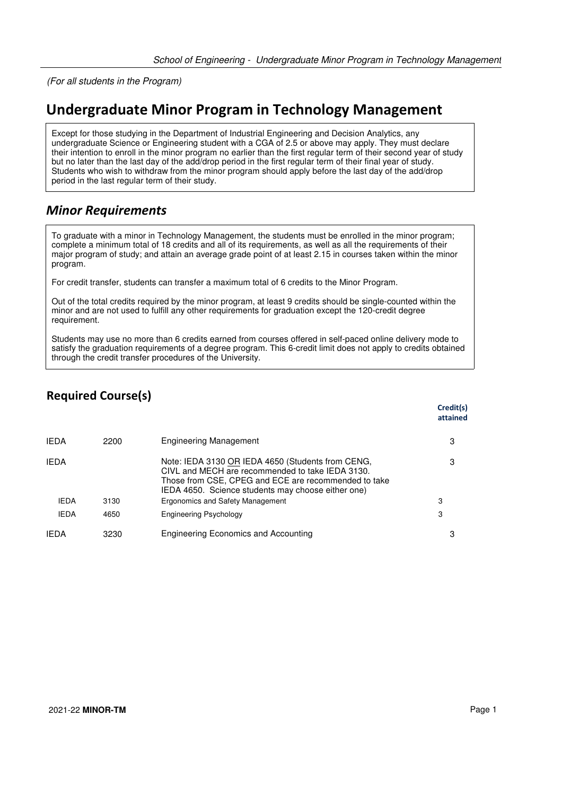(For all students in the Program)

## **Undergraduate Minor Program in Technology Management**

Except for those studying in the Department of Industrial Engineering and Decision Analytics, any undergraduate Science or Engineering student with a CGA of 2.5 or above may apply. They must declare their intention to enroll in the minor program no earlier than the first regular term of their second year of study but no later than the last day of the add/drop period in the first regular term of their final year of study. Students who wish to withdraw from the minor program should apply before the last day of the add/drop period in the last regular term of their study.

## *Minor Requirements*

To graduate with a minor in Technology Management, the students must be enrolled in the minor program; complete a minimum total of 18 credits and all of its requirements, as well as all the requirements of their major program of study; and attain an average grade point of at least 2.15 in courses taken within the minor program.

For credit transfer, students can transfer a maximum total of 6 credits to the Minor Program.

Out of the total credits required by the minor program, at least 9 credits should be single-counted within the minor and are not used to fulfill any other requirements for graduation except the 120-credit degree requirement.

Students may use no more than 6 credits earned from courses offered in self-paced online delivery mode to satisfy the graduation requirements of a degree program. This 6-credit limit does not apply to credits obtained through the credit transfer procedures of the University.

## **Required Course(s)**

|             |      |                                                                                                                                                                                                                     | Credit(s)<br>attained |
|-------------|------|---------------------------------------------------------------------------------------------------------------------------------------------------------------------------------------------------------------------|-----------------------|
| <b>IFDA</b> | 2200 | Engineering Management                                                                                                                                                                                              | 3                     |
| <b>IEDA</b> |      | Note: IEDA 3130 OR IEDA 4650 (Students from CENG,<br>CIVL and MECH are recommended to take IEDA 3130.<br>Those from CSE, CPEG and ECE are recommended to take<br>IEDA 4650. Science students may choose either one) | 3                     |
| <b>IEDA</b> | 3130 | Ergonomics and Safety Management                                                                                                                                                                                    | 3                     |
| <b>IEDA</b> | 4650 | Engineering Psychology                                                                                                                                                                                              | 3                     |
| <b>IFDA</b> | 3230 | Engineering Economics and Accounting                                                                                                                                                                                | З                     |